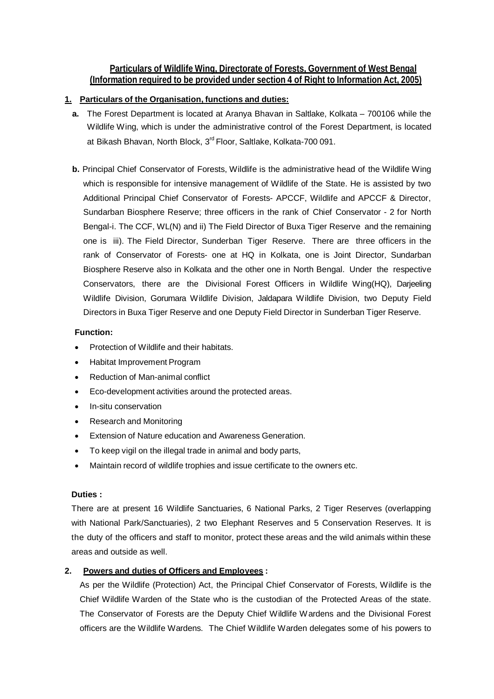# **Particulars of Wildlife Wing, Directorate of Forests, Government of West Bengal (Information required to be provided under section 4 of Right to Information Act, 2005)**

# **1. Particulars of the Organisation, functions and duties:**

- **a.** The Forest Department is located at Aranya Bhavan in Saltlake, Kolkata 700106 while the Wildlife Wing, which is under the administrative control of the Forest Department, is located at Bikash Bhavan, North Block, 3<sup>rd</sup> Floor, Saltlake, Kolkata-700 091.
- **b.** Principal Chief Conservator of Forests, Wildlife is the administrative head of the Wildlife Wing which is responsible for intensive management of Wildlife of the State. He is assisted by two Additional Principal Chief Conservator of Forests- APCCF, Wildlife and APCCF & Director, Sundarban Biosphere Reserve; three officers in the rank of Chief Conservator - 2 for North Bengal-i. The CCF, WL(N) and ii) The Field Director of Buxa Tiger Reserve and the remaining one is iii). The Field Director, Sunderban Tiger Reserve. There are three officers in the rank of Conservator of Forests- one at HQ in Kolkata, one is Joint Director, Sundarban Biosphere Reserve also in Kolkata and the other one in North Bengal. Under the respective Conservators, there are the Divisional Forest Officers in Wildlife Wing(HQ), Darjeeling Wildlife Division, Gorumara Wildlife Division, Jaldapara Wildlife Division, two Deputy Field Directors in Buxa Tiger Reserve and one Deputy Field Director in Sunderban Tiger Reserve.

# **Function:**

- Protection of Wildlife and their habitats.
- Habitat Improvement Program
- Reduction of Man-animal conflict
- Eco-development activities around the protected areas.
- In-situ conservation
- Research and Monitoring
- Extension of Nature education and Awareness Generation.
- To keep vigil on the illegal trade in animal and body parts,
- Maintain record of wildlife trophies and issue certificate to the owners etc.

### **Duties :**

There are at present 16 Wildlife Sanctuaries, 6 National Parks, 2 Tiger Reserves (overlapping with National Park/Sanctuaries), 2 two Elephant Reserves and 5 Conservation Reserves. It is the duty of the officers and staff to monitor, protect these areas and the wild animals within these areas and outside as well.

# **2. Powers and duties of Officers and Employees :**

As per the Wildlife (Protection) Act, the Principal Chief Conservator of Forests, Wildlife is the Chief Wildlife Warden of the State who is the custodian of the Protected Areas of the state. The Conservator of Forests are the Deputy Chief Wildlife Wardens and the Divisional Forest officers are the Wildlife Wardens. The Chief Wildlife Warden delegates some of his powers to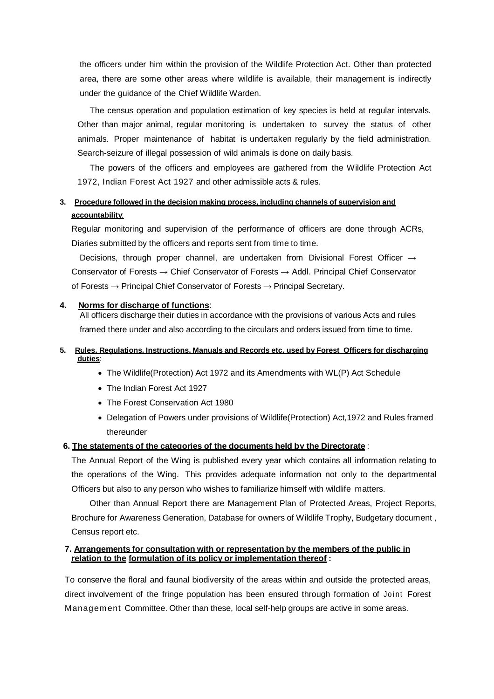the officers under him within the provision of the Wildlife Protection Act. Other than protected area, there are some other areas where wildlife is available, their management is indirectly under the guidance of the Chief Wildlife Warden.

The census operation and population estimation of key species is held at regular intervals. Other than major animal, regular monitoring is undertaken to survey the status of other animals. Proper maintenance of habitat is undertaken regularly by the field administration. Search-seizure of illegal possession of wild animals is done on daily basis.

The powers of the officers and employees are gathered from the Wildlife Protection Act 1972, Indian Forest Act 1927 and other admissible acts & rules.

# **3. Procedure followed in the decision making process, including channels of supervision and accountability**:

Regular monitoring and supervision of the performance of officers are done through ACRs, Diaries submitted by the officers and reports sent from time to time.

Decisions, through proper channel, are undertaken from Divisional Forest Officer **→** Conservator of Forests **→** Chief Conservator of Forests → Addl. Principal Chief Conservator of Forests → Principal Chief Conservator of Forests → Principal Secretary.

#### **4. Norms for discharge of functions**:

All officers discharge their duties in accordance with the provisions of various Acts and rules framed there under and also according to the circulars and orders issued from time to time.

#### **5. Rules, Regulations, Instructions, Manuals and Records etc. used by Forest Officers for discharging duties**:

- The Wildlife(Protection) Act 1972 and its Amendments with WL(P) Act Schedule
- The Indian Forest Act 1927
- The Forest Conservation Act 1980
- Delegation of Powers under provisions of Wildlife(Protection) Act,1972 and Rules framed thereunder

#### **6. The statements of the categories of the documents held by the Directorate** :

The Annual Report of the Wing is published every year which contains all information relating to the operations of the Wing. This provides adequate information not only to the departmental Officers but also to any person who wishes to familiarize himself with wildlife matters.

Other than Annual Report there are Management Plan of Protected Areas, Project Reports, Brochure for Awareness Generation, Database for owners of Wildlife Trophy, Budgetary document , Census report etc.

#### **7. Arrangements for consultation with or representation by the members of the public in relation to the formulation of its policy or implementation thereof :**

To conserve the floral and faunal biodiversity of the areas within and outside the protected areas, direct involvement of the fringe population has been ensured through formation of Joint Forest Management Committee. Other than these, local self-help groups are active in some areas.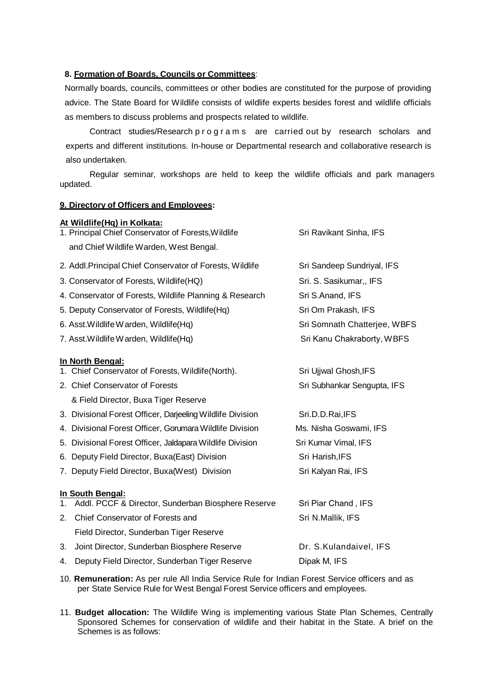#### **8. Formation of Boards, Councils or Committees**:

Normally boards, councils, committees or other bodies are constituted for the purpose of providing advice. The State Board for Wildlife consists of wildlife experts besides forest and wildlife officials as members to discuss problems and prospects related to wildlife.

Contract studies/Research p r o g r a m s are carried out by research scholars and experts and different institutions. In-house or Departmental research and collaborative research is also undertaken.

Regular seminar, workshops are held to keep the wildlife officials and park managers updated.

#### **9. Directory of Officers and Employees:**

|    | At Wildlife(Hq) in Kolkata:                                |                              |
|----|------------------------------------------------------------|------------------------------|
|    | 1. Principal Chief Conservator of Forests, Wildlife        | Sri Ravikant Sinha, IFS      |
|    | and Chief Wildlife Warden, West Bengal.                    |                              |
|    | 2. Addl. Principal Chief Conservator of Forests, Wildlife  | Sri Sandeep Sundriyal, IFS   |
|    | 3. Conservator of Forests, Wildlife(HQ)                    | Sri. S. Sasikumar,, IFS      |
|    | 4. Conservator of Forests, Wildlife Planning & Research    | Sri S.Anand, IFS             |
|    | 5. Deputy Conservator of Forests, Wildlife(Hq)             | Sri Om Prakash, IFS          |
|    | 6. Asst. Wildlife Warden, Wildlife (Hq)                    | Sri Somnath Chatterjee, WBFS |
|    | 7. Asst. Wildlife Warden, Wildlife (Hq)                    | Sri Kanu Chakraborty, WBFS   |
|    | In North Bengal:                                           |                              |
|    | 1. Chief Conservator of Forests, Wildlife(North).          | Sri Ujjwal Ghosh, IFS        |
|    | 2. Chief Conservator of Forests                            | Sri Subhankar Sengupta, IFS  |
|    | & Field Director, Buxa Tiger Reserve                       |                              |
|    | 3. Divisional Forest Officer, Darjeeling Wildlife Division | Sri.D.D.Rai, IFS             |
|    | 4. Divisional Forest Officer, Gorumara Wildlife Division   | Ms. Nisha Goswami, IFS       |
|    | 5. Divisional Forest Officer, Jaldapara Wildlife Division  | Sri Kumar Vimal, IFS         |
|    | 6. Deputy Field Director, Buxa(East) Division              | Sri Harish, IFS              |
|    | 7. Deputy Field Director, Buxa(West) Division              | Sri Kalyan Rai, IFS          |
|    | In South Bengal:                                           |                              |
| 1. | Addl. PCCF & Director, Sunderban Biosphere Reserve         | Sri Piar Chand, IFS          |
| 2. | Chief Conservator of Forests and                           | Sri N.Mallik, IFS            |
|    | Field Director, Sunderban Tiger Reserve                    |                              |
| 3. | Joint Director, Sunderban Biosphere Reserve                | Dr. S.Kulandaivel, IFS       |
| 4. | Deputy Field Director, Sunderban Tiger Reserve             | Dipak M, IFS                 |

- 10. **Remuneration:** As per rule All India Service Rule for Indian Forest Service officers and as per State Service Rule for West Bengal Forest Service officers and employees.
- 11. **Budget allocation:** The Wildlife Wing is implementing various State Plan Schemes, Centrally Sponsored Schemes for conservation of wildlife and their habitat in the State. A brief on the Schemes is as follows: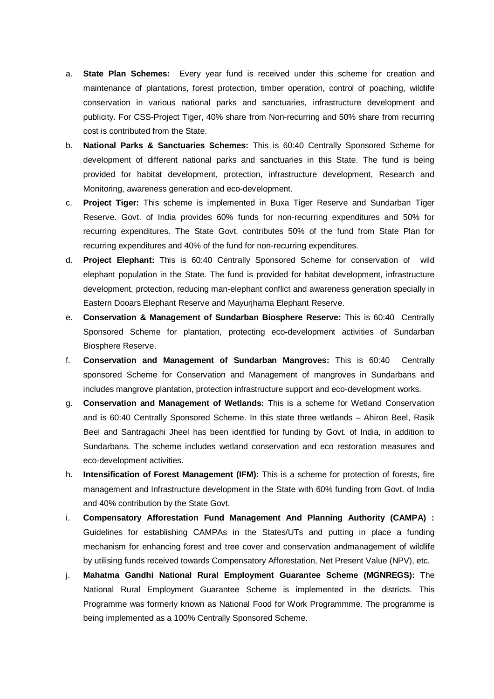- a. **State Plan Schemes:** Every year fund is received under this scheme for creation and maintenance of plantations, forest protection, timber operation, control of poaching, wildlife conservation in various national parks and sanctuaries, infrastructure development and publicity. For CSS-Project Tiger, 40% share from Non-recurring and 50% share from recurring cost is contributed from the State.
- b. **National Parks & Sanctuaries Schemes:** This is 60:40 Centrally Sponsored Scheme for development of different national parks and sanctuaries in this State. The fund is being provided for habitat development, protection, infrastructure development, Research and Monitoring, awareness generation and eco-development.
- c. **Project Tiger:** This scheme is implemented in Buxa Tiger Reserve and Sundarban Tiger Reserve. Govt. of India provides 60% funds for non-recurring expenditures and 50% for recurring expenditures. The State Govt. contributes 50% of the fund from State Plan for recurring expenditures and 40% of the fund for non-recurring expenditures.
- d. **Project Elephant:** This is 60:40 Centrally Sponsored Scheme for conservation of wild elephant population in the State. The fund is provided for habitat development, infrastructure development, protection, reducing man-elephant conflict and awareness generation specially in Eastern Dooars Elephant Reserve and Mayurjharna Elephant Reserve.
- e. **Conservation & Management of Sundarban Biosphere Reserve:** This is 60:40 Centrally Sponsored Scheme for plantation, protecting eco-development activities of Sundarban Biosphere Reserve.
- f. **Conservation and Management of Sundarban Mangroves:** This is 60:40 Centrally sponsored Scheme for Conservation and Management of mangroves in Sundarbans and includes mangrove plantation, protection infrastructure support and eco-development works.
- g. **Conservation and Management of Wetlands:** This is a scheme for Wetland Conservation and is 60:40 Centrally Sponsored Scheme. In this state three wetlands – Ahiron Beel, Rasik Beel and Santragachi Jheel has been identified for funding by Govt. of India, in addition to Sundarbans. The scheme includes wetland conservation and eco restoration measures and eco-development activities.
- h. **Intensification of Forest Management (IFM):** This is a scheme for protection of forests, fire management and Infrastructure development in the State with 60% funding from Govt. of India and 40% contribution by the State Govt.
- i. **Compensatory Afforestation Fund Management And Planning Authority (CAMPA) :** Guidelines for establishing CAMPAs in the States/UTs and putting in place a funding mechanism for enhancing forest and tree cover and conservation andmanagement of wildlife by utilising funds received towards Compensatory Afforestation, Net Present Value (NPV), etc.
- j. **Mahatma Gandhi National Rural Employment Guarantee Scheme (MGNREGS):** The National Rural Employment Guarantee Scheme is implemented in the districts. This Programme was formerly known as National Food for Work Programmme. The programme is being implemented as a 100% Centrally Sponsored Scheme.